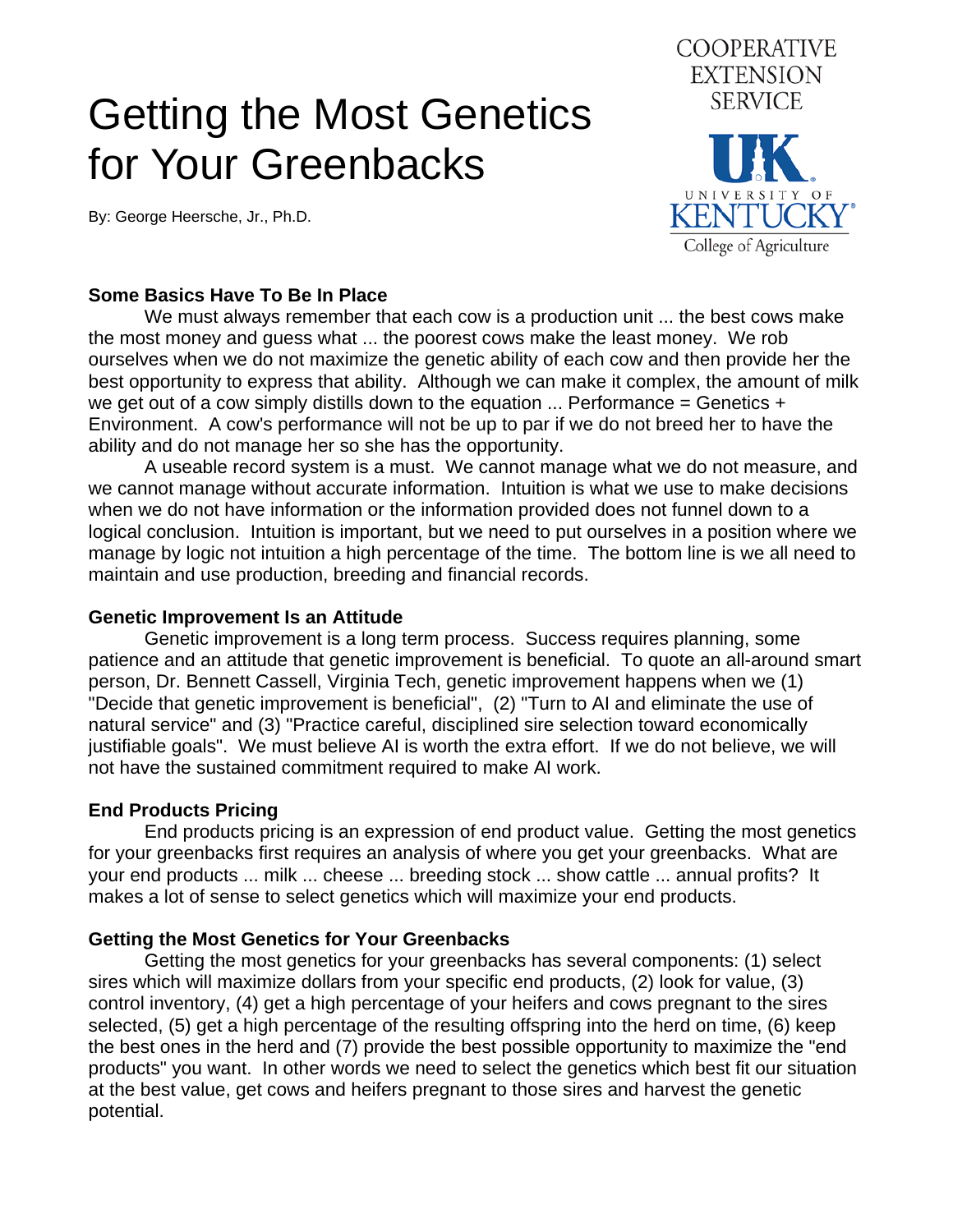# Getting the Most Genetics for Your Greenbacks

By: George Heersche, Jr., Ph.D.



## **Some Basics Have To Be In Place**

 We must always remember that each cow is a production unit ... the best cows make the most money and guess what ... the poorest cows make the least money. We rob ourselves when we do not maximize the genetic ability of each cow and then provide her the best opportunity to express that ability. Although we can make it complex, the amount of milk we get out of a cow simply distills down to the equation  $\ldots$  Performance = Genetics + Environment. A cow's performance will not be up to par if we do not breed her to have the ability and do not manage her so she has the opportunity.

 A useable record system is a must. We cannot manage what we do not measure, and we cannot manage without accurate information. Intuition is what we use to make decisions when we do not have information or the information provided does not funnel down to a logical conclusion. Intuition is important, but we need to put ourselves in a position where we manage by logic not intuition a high percentage of the time. The bottom line is we all need to maintain and use production, breeding and financial records.

#### **Genetic Improvement Is an Attitude**

 Genetic improvement is a long term process. Success requires planning, some patience and an attitude that genetic improvement is beneficial. To quote an all-around smart person, Dr. Bennett Cassell, Virginia Tech, genetic improvement happens when we (1) "Decide that genetic improvement is beneficial", (2) "Turn to AI and eliminate the use of natural service" and (3) "Practice careful, disciplined sire selection toward economically justifiable goals". We must believe AI is worth the extra effort. If we do not believe, we will not have the sustained commitment required to make AI work.

## **End Products Pricing**

 End products pricing is an expression of end product value. Getting the most genetics for your greenbacks first requires an analysis of where you get your greenbacks. What are your end products ... milk ... cheese ... breeding stock ... show cattle ... annual profits? It makes a lot of sense to select genetics which will maximize your end products.

## **Getting the Most Genetics for Your Greenbacks**

 Getting the most genetics for your greenbacks has several components: (1) select sires which will maximize dollars from your specific end products, (2) look for value, (3) control inventory, (4) get a high percentage of your heifers and cows pregnant to the sires selected, (5) get a high percentage of the resulting offspring into the herd on time, (6) keep the best ones in the herd and (7) provide the best possible opportunity to maximize the "end products" you want. In other words we need to select the genetics which best fit our situation at the best value, get cows and heifers pregnant to those sires and harvest the genetic potential.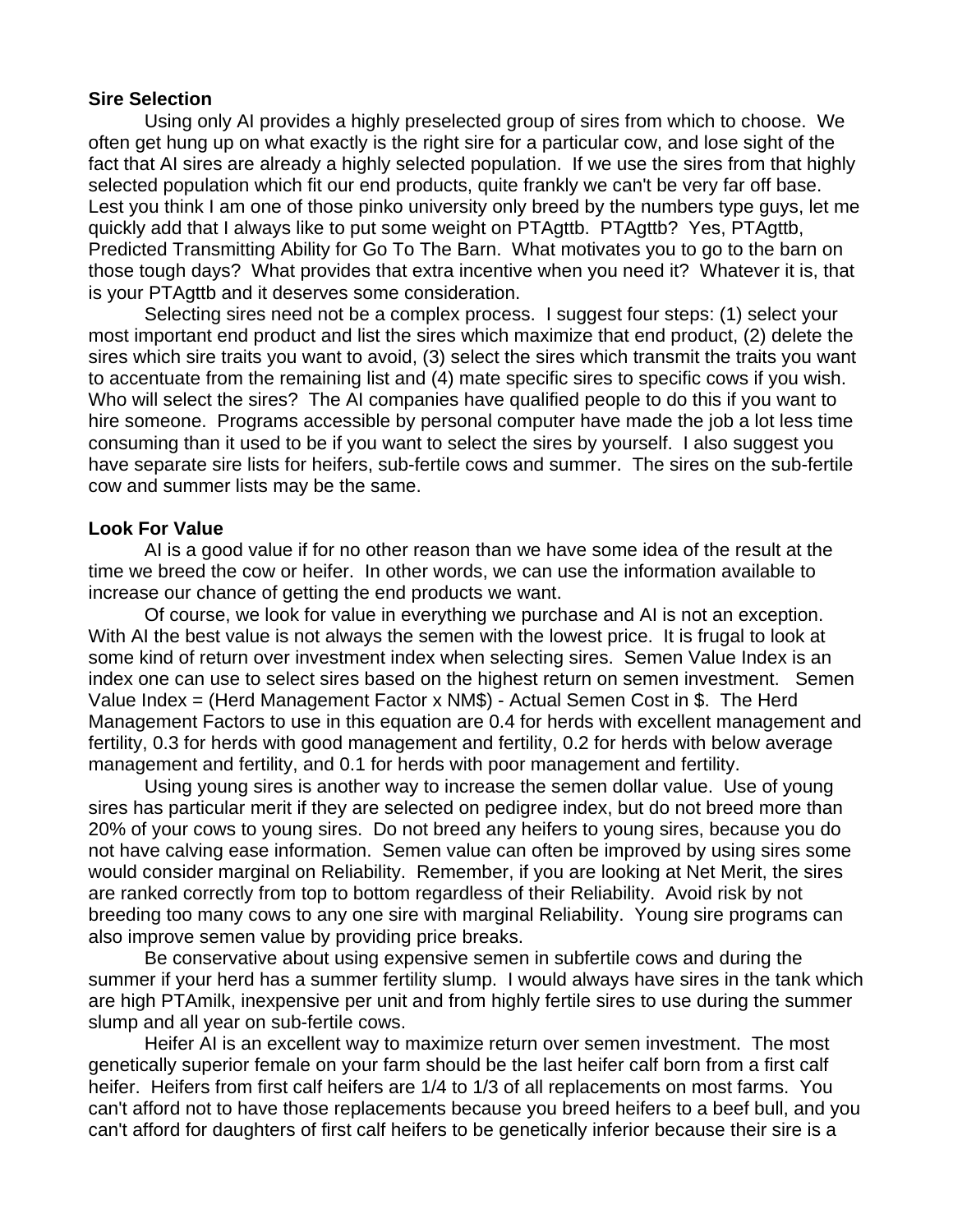#### **Sire Selection**

 Using only AI provides a highly preselected group of sires from which to choose. We often get hung up on what exactly is the right sire for a particular cow, and lose sight of the fact that AI sires are already a highly selected population. If we use the sires from that highly selected population which fit our end products, quite frankly we can't be very far off base. Lest you think I am one of those pinko university only breed by the numbers type guys, let me quickly add that I always like to put some weight on PTAgttb. PTAgttb? Yes, PTAgttb, Predicted Transmitting Ability for Go To The Barn. What motivates you to go to the barn on those tough days? What provides that extra incentive when you need it? Whatever it is, that is your PTAgttb and it deserves some consideration.

 Selecting sires need not be a complex process. I suggest four steps: (1) select your most important end product and list the sires which maximize that end product, (2) delete the sires which sire traits you want to avoid, (3) select the sires which transmit the traits you want to accentuate from the remaining list and (4) mate specific sires to specific cows if you wish. Who will select the sires? The AI companies have qualified people to do this if you want to hire someone. Programs accessible by personal computer have made the job a lot less time consuming than it used to be if you want to select the sires by yourself. I also suggest you have separate sire lists for heifers, sub-fertile cows and summer. The sires on the sub-fertile cow and summer lists may be the same.

### **Look For Value**

 AI is a good value if for no other reason than we have some idea of the result at the time we breed the cow or heifer. In other words, we can use the information available to increase our chance of getting the end products we want.

 Of course, we look for value in everything we purchase and AI is not an exception. With AI the best value is not always the semen with the lowest price. It is frugal to look at some kind of return over investment index when selecting sires. Semen Value Index is an index one can use to select sires based on the highest return on semen investment. Semen Value Index = (Herd Management Factor x NM\$) - Actual Semen Cost in \$. The Herd Management Factors to use in this equation are 0.4 for herds with excellent management and fertility, 0.3 for herds with good management and fertility, 0.2 for herds with below average management and fertility, and 0.1 for herds with poor management and fertility.

 Using young sires is another way to increase the semen dollar value. Use of young sires has particular merit if they are selected on pedigree index, but do not breed more than 20% of your cows to young sires. Do not breed any heifers to young sires, because you do not have calving ease information. Semen value can often be improved by using sires some would consider marginal on Reliability. Remember, if you are looking at Net Merit, the sires are ranked correctly from top to bottom regardless of their Reliability. Avoid risk by not breeding too many cows to any one sire with marginal Reliability. Young sire programs can also improve semen value by providing price breaks.

 Be conservative about using expensive semen in subfertile cows and during the summer if your herd has a summer fertility slump. I would always have sires in the tank which are high PTAmilk, inexpensive per unit and from highly fertile sires to use during the summer slump and all year on sub-fertile cows.

 Heifer AI is an excellent way to maximize return over semen investment. The most genetically superior female on your farm should be the last heifer calf born from a first calf heifer. Heifers from first calf heifers are 1/4 to 1/3 of all replacements on most farms. You can't afford not to have those replacements because you breed heifers to a beef bull, and you can't afford for daughters of first calf heifers to be genetically inferior because their sire is a